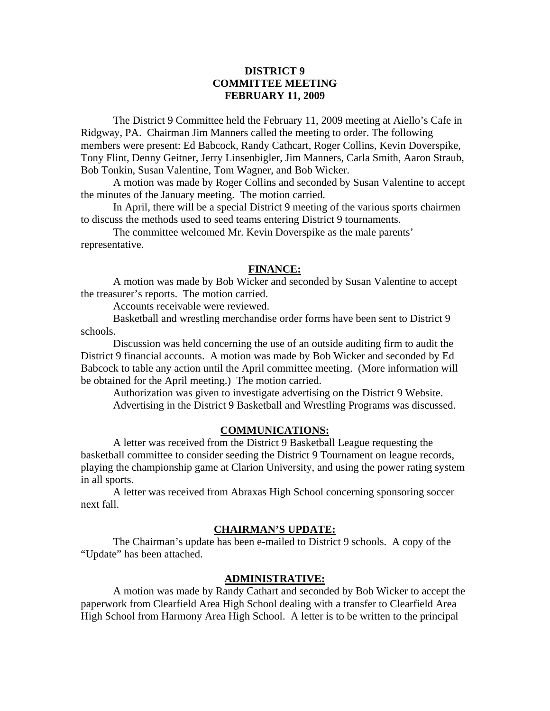# **DISTRICT 9 COMMITTEE MEETING FEBRUARY 11, 2009**

 The District 9 Committee held the February 11, 2009 meeting at Aiello's Cafe in Ridgway, PA. Chairman Jim Manners called the meeting to order. The following members were present: Ed Babcock, Randy Cathcart, Roger Collins, Kevin Doverspike, Tony Flint, Denny Geitner, Jerry Linsenbigler, Jim Manners, Carla Smith, Aaron Straub, Bob Tonkin, Susan Valentine, Tom Wagner, and Bob Wicker.

 A motion was made by Roger Collins and seconded by Susan Valentine to accept the minutes of the January meeting. The motion carried.

 In April, there will be a special District 9 meeting of the various sports chairmen to discuss the methods used to seed teams entering District 9 tournaments.

 The committee welcomed Mr. Kevin Doverspike as the male parents' representative.

## **FINANCE:**

A motion was made by Bob Wicker and seconded by Susan Valentine to accept the treasurer's reports. The motion carried.

Accounts receivable were reviewed.

 Basketball and wrestling merchandise order forms have been sent to District 9 schools.

 Discussion was held concerning the use of an outside auditing firm to audit the District 9 financial accounts. A motion was made by Bob Wicker and seconded by Ed Babcock to table any action until the April committee meeting. (More information will be obtained for the April meeting.) The motion carried.

 Authorization was given to investigate advertising on the District 9 Website. Advertising in the District 9 Basketball and Wrestling Programs was discussed.

## **COMMUNICATIONS:**

 A letter was received from the District 9 Basketball League requesting the basketball committee to consider seeding the District 9 Tournament on league records, playing the championship game at Clarion University, and using the power rating system in all sports.

 A letter was received from Abraxas High School concerning sponsoring soccer next fall.

## **CHAIRMAN'S UPDATE:**

 The Chairman's update has been e-mailed to District 9 schools. A copy of the "Update" has been attached.

## **ADMINISTRATIVE:**

 A motion was made by Randy Cathart and seconded by Bob Wicker to accept the paperwork from Clearfield Area High School dealing with a transfer to Clearfield Area High School from Harmony Area High School. A letter is to be written to the principal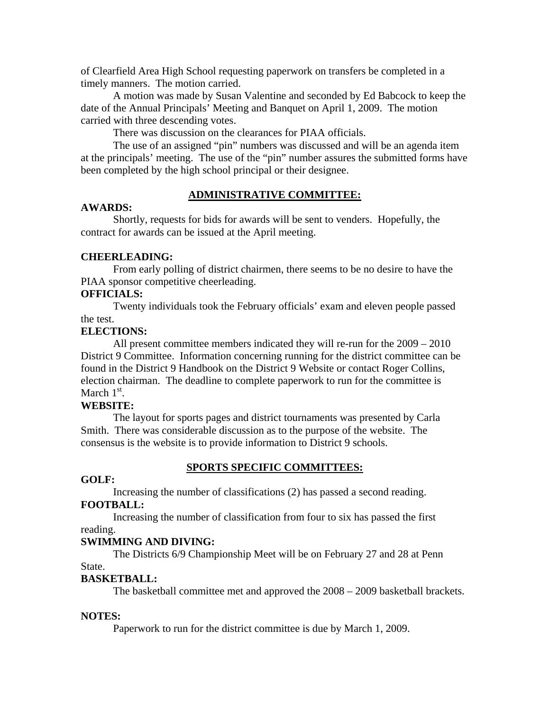of Clearfield Area High School requesting paperwork on transfers be completed in a timely manners. The motion carried.

 A motion was made by Susan Valentine and seconded by Ed Babcock to keep the date of the Annual Principals' Meeting and Banquet on April 1, 2009. The motion carried with three descending votes.

There was discussion on the clearances for PIAA officials.

 The use of an assigned "pin" numbers was discussed and will be an agenda item at the principals' meeting. The use of the "pin" number assures the submitted forms have been completed by the high school principal or their designee.

#### **ADMINISTRATIVE COMMITTEE:**

# **AWARDS:**

 Shortly, requests for bids for awards will be sent to venders. Hopefully, the contract for awards can be issued at the April meeting.

#### **CHEERLEADING:**

 From early polling of district chairmen, there seems to be no desire to have the PIAA sponsor competitive cheerleading.

# **OFFICIALS:**

 Twenty individuals took the February officials' exam and eleven people passed the test.

# **ELECTIONS:**

 All present committee members indicated they will re-run for the 2009 – 2010 District 9 Committee. Information concerning running for the district committee can be found in the District 9 Handbook on the District 9 Website or contact Roger Collins, election chairman. The deadline to complete paperwork to run for the committee is March  $1<sup>st</sup>$ .

## **WEBSITE:**

 The layout for sports pages and district tournaments was presented by Carla Smith. There was considerable discussion as to the purpose of the website. The consensus is the website is to provide information to District 9 schools.

# **SPORTS SPECIFIC COMMITTEES:**

# **GOLF:**

Increasing the number of classifications (2) has passed a second reading.

#### **FOOTBALL:**

 Increasing the number of classification from four to six has passed the first reading.

#### **SWIMMING AND DIVING:**

 The Districts 6/9 Championship Meet will be on February 27 and 28 at Penn State.

#### **BASKETBALL:**

The basketball committee met and approved the 2008 – 2009 basketball brackets.

#### **NOTES:**

Paperwork to run for the district committee is due by March 1, 2009.